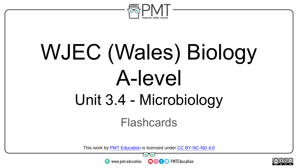

# WJEC (Wales) Biology A-level Unit 3.4 - Microbiology

Flashcards

This work by <u>PMT Education</u> is licensed under CC BY-NC-ND 4.0<br>
www.pmt.education **in the CO CO** PMTEducation



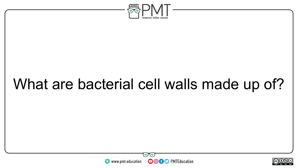

# What are bacterial cell walls made up of?



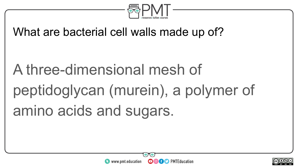

What are bacterial cell walls made up of?

A three-dimensional mesh of peptidoglycan (murein), a polymer of amino acids and sugars.



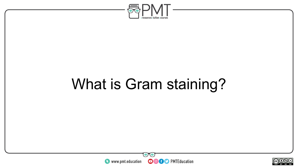

# What is Gram staining?



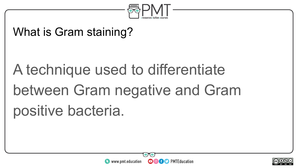

#### What is Gram staining?

# A technique used to differentiate between Gram negative and Gram positive bacteria.



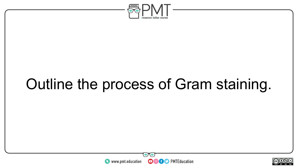

# Outline the process of Gram staining.



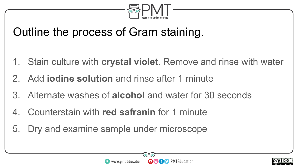

#### Outline the process of Gram staining.

- 1. Stain culture with **crystal violet**. Remove and rinse with water
- 2. Add **iodine solution** and rinse after 1 minute
- 3. Alternate washes of **alcohol** and water for 30 seconds
- 4. Counterstain with **red safranin** for 1 minute
- 5. Dry and examine sample under microscope



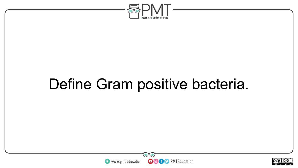

### Define Gram positive bacteria.



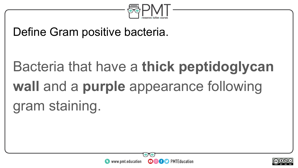

#### Define Gram positive bacteria.

# Bacteria that have a **thick peptidoglycan wall** and a **purple** appearance following gram staining.



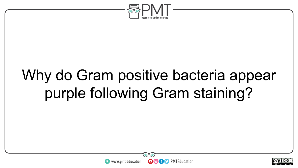

# Why do Gram positive bacteria appear purple following Gram staining?



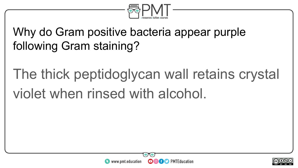

#### Why do Gram positive bacteria appear purple following Gram staining?

# The thick peptidoglycan wall retains crystal violet when rinsed with alcohol.



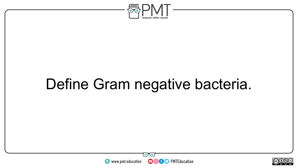

# Define Gram negative bacteria.



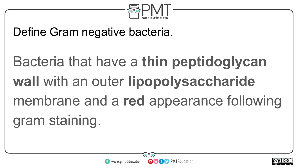

#### Define Gram negative bacteria.

# Bacteria that have a **thin peptidoglycan wall** with an outer **lipopolysaccharide** membrane and a **red** appearance following gram staining.



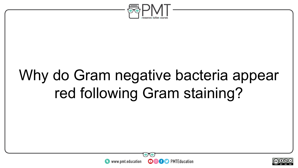

# Why do Gram negative bacteria appear red following Gram staining?



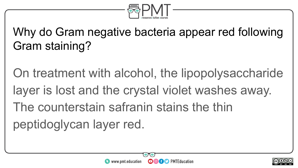

#### Why do Gram negative bacteria appear red following Gram staining?

On treatment with alcohol, the lipopolysaccharide layer is lost and the crystal violet washes away. The counterstain safranin stains the thin peptidoglycan layer red.



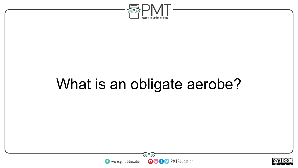

# What is an obligate aerobe?



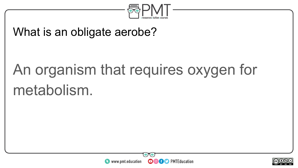

#### What is an obligate aerobe?

# An organism that requires oxygen for metabolism.



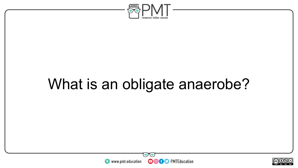

## What is an obligate anaerobe?



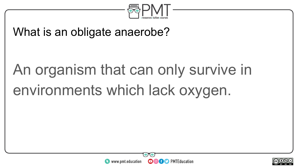

#### What is an obligate anaerobe?

# An organism that can only survive in environments which lack oxygen.



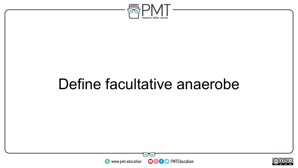

### Define facultative anaerobe



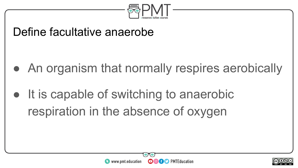

#### Define facultative anaerobe

- An organism that normally respires aerobically
- It is capable of switching to anaerobic respiration in the absence of oxygen



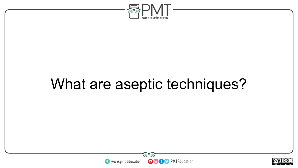

## What are aseptic techniques?



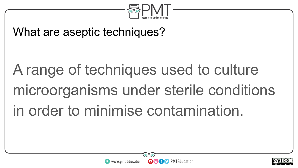

#### What are aseptic techniques?

# A range of techniques used to culture microorganisms under sterile conditions in order to minimise contamination.



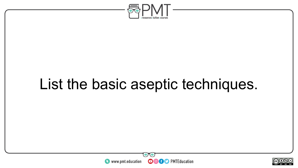

## List the basic aseptic techniques.



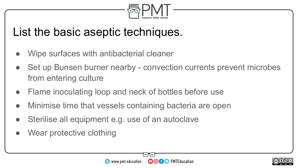

#### List the basic aseptic techniques.

- Wipe surfaces with antibacterial cleaner
- Set up Bunsen burner nearby convection currents prevent microbes from entering culture
- Flame inoculating loop and neck of bottles before use
- Minimise time that vessels containing bacteria are open
- Sterilise all equipment e.g. use of an autoclave
- Wear protective clothing



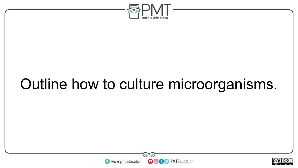

# Outline how to culture microorganisms.



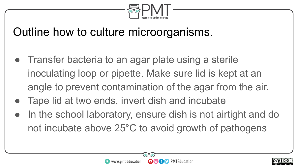

#### Outline how to culture microorganisms.

- Transfer bacteria to an agar plate using a sterile inoculating loop or pipette. Make sure lid is kept at an angle to prevent contamination of the agar from the air.
- Tape lid at two ends, invert dish and incubate
- In the school laboratory, ensure dish is not airtight and do not incubate above 25°C to avoid growth of pathogens



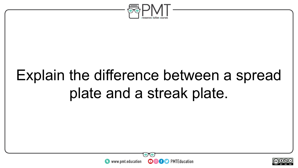

# Explain the difference between a spread plate and a streak plate.



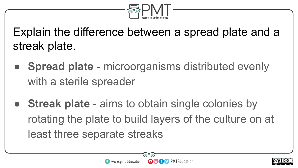

Explain the difference between a spread plate and a streak plate.

- **Spread plate** microorganisms distributed evenly with a sterile spreader
- **Streak plate** aims to obtain single colonies by rotating the plate to build layers of the culture on at least three separate streaks



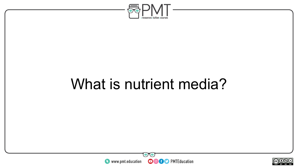

### What is nutrient media?



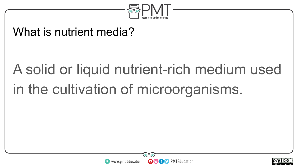

#### What is nutrient media?

# A solid or liquid nutrient-rich medium used in the cultivation of microorganisms.



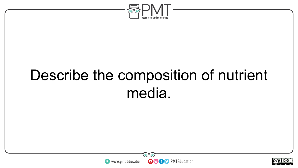

# Describe the composition of nutrient media.



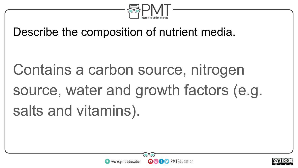

Describe the composition of nutrient media.

Contains a carbon source, nitrogen source, water and growth factors (e.g. salts and vitamins).



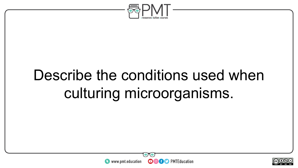

# Describe the conditions used when culturing microorganisms.



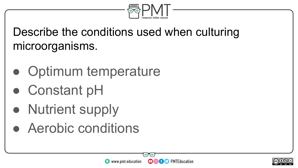

Describe the conditions used when culturing microorganisms.

- Optimum temperature
- Constant pH
- Nutrient supply
- Aerobic conditions



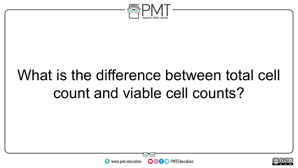

# What is the difference between total cell count and viable cell counts?



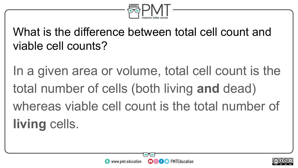

#### What is the difference between total cell count and viable cell counts?

In a given area or volume, total cell count is the total number of cells (both living **and** dead) whereas viable cell count is the total number of **living** cells.



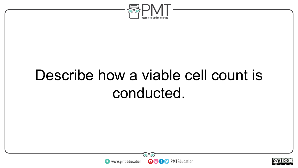

## Describe how a viable cell count is conducted.



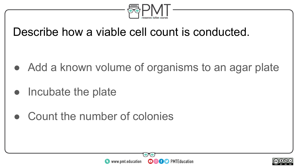

#### Describe how a viable cell count is conducted.

- Add a known volume of organisms to an agar plate
- Incubate the plate
- Count the number of colonies



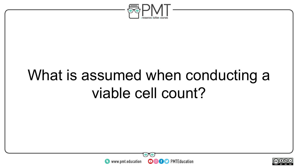

## What is assumed when conducting a viable cell count?



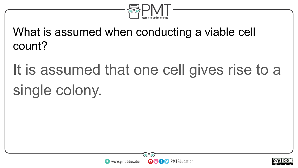

What is assumed when conducting a viable cell count?

It is assumed that one cell gives rise to a single colony.



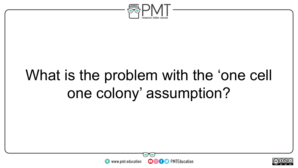

# What is the problem with the 'one cell one colony' assumption?



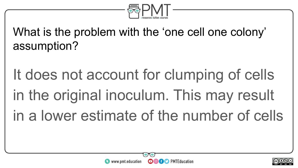

What is the problem with the 'one cell one colony' assumption?

It does not account for clumping of cells in the original inoculum. This may result in a lower estimate of the number of cells



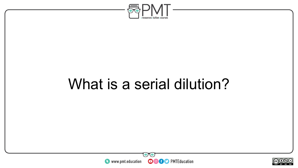

### What is a serial dilution?